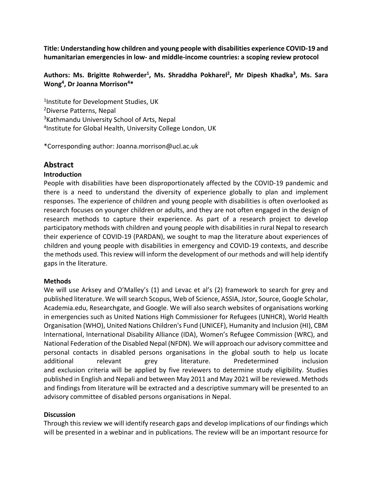**Title: Understanding how children and young people with disabilities experience COVID-19 and humanitarian emergencies in low- and middle-income countries: a scoping review protocol**

### **Authors: Ms. Brigitte Rohwerder1, Ms. Shraddha Pokharel2, Mr Dipesh Khadka3, Ms. Sara Wong4, Dr Joanna Morrison4\***

1Institute for Development Studies, UK 2Diverse Patterns, Nepal 3Kathmandu University School of Arts, Nepal 4Institute for Global Health, University College London, UK

\*Corresponding author: Joanna.morrison@ucl.ac.uk

# **Abstract**

### **Introduction**

People with disabilities have been disproportionately affected by the COVID-19 pandemic and there is a need to understand the diversity of experience globally to plan and implement responses. The experience of children and young people with disabilities is often overlooked as research focuses on younger children or adults, and they are not often engaged in the design of research methods to capture their experience. As part of a research project to develop participatory methods with children and young people with disabilities in rural Nepal to research their experience of COVID-19 (PARDAN), we sought to map the literature about experiences of children and young people with disabilities in emergency and COVID-19 contexts, and describe the methods used. This review will inform the development of our methods and will help identify gaps in the literature.

### **Methods**

We will use Arksey and O'Malley's (1) and Levac et al's (2) framework to search for grey and published literature. We will search Scopus, Web of Science, ASSIA, Jstor, Source, Google Scholar, Academia.edu, Researchgate, and Google. We will also search websites of organisations working in emergencies such as United Nations High Commissioner for Refugees (UNHCR), World Health Organisation (WHO), United Nations Children's Fund (UNICEF), Humanity and Inclusion (HI), CBM International, International Disability Alliance (IDA), Women's Refugee Commission (WRC), and National Federation of the Disabled Nepal (NFDN). We will approach our advisory committee and personal contacts in disabled persons organisations in the global south to help us locate additional relevant grey literature. Predetermined inclusion and exclusion criteria will be applied by five reviewers to determine study eligibility. Studies published in English and Nepali and between May 2011 and May 2021 will be reviewed. Methods and findings from literature will be extracted and a descriptive summary will be presented to an advisory committee of disabled persons organisations in Nepal.

### **Discussion**

Through thisreview we will identify research gaps and develop implications of our findings which will be presented in a webinar and in publications. The review will be an important resource for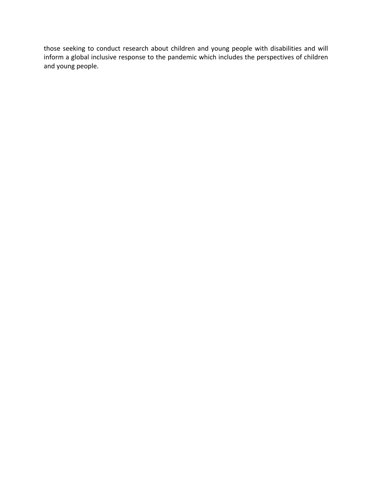those seeking to conduct research about children and young people with disabilities and will inform a global inclusive response to the pandemic which includes the perspectives of children and young people.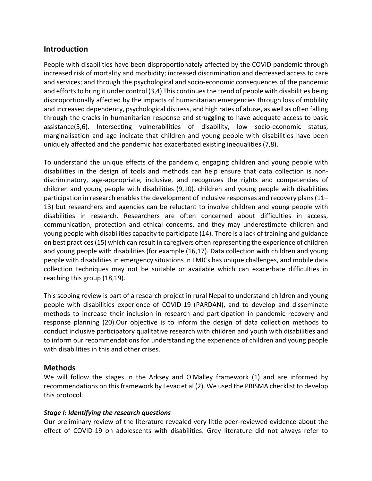# **Introduction**

People with disabilities have been disproportionately affected by the COVID pandemic through increased risk of mortality and morbidity; increased discrimination and decreased access to care and services; and through the psychological and socio-economic consequences of the pandemic and efforts to bring it under control (3,4) This continues the trend of people with disabilities being disproportionally affected by the impacts of humanitarian emergencies through loss of mobility and increased dependency, psychological distress, and high rates of abuse, as well as often falling through the cracks in humanitarian response and struggling to have adequate access to basic assistance(5,6). Intersecting vulnerabilities of disability, low socio-economic status, marginalisation and age indicate that children and young people with disabilities have been uniquely affected and the pandemic has exacerbated existing inequalities (7,8).

To understand the unique effects of the pandemic, engaging children and young people with disabilities in the design of tools and methods can help ensure that data collection is nondiscriminatory, age-appropriate, inclusive, and recognizes the rights and competencies of children and young people with disabilities (9,10). children and young people with disabilities participation in research enables the development of inclusive responses and recovery plans(11– 13) but researchers and agencies can be reluctant to involve children and young people with disabilities in research. Researchers are often concerned about difficulties in access, communication, protection and ethical concerns, and they may underestimate children and young people with disabilities capacity to participate (14). There is a lack of training and guidance on best practices(15) which can result in caregivers often representing the experience of children and young people with disabilities (for example (16,17). Data collection with children and young people with disabilities in emergency situations in LMICs has unique challenges, and mobile data collection techniques may not be suitable or available which can exacerbate difficulties in reaching this group (18,19).

This scoping review is part of a research project in rural Nepal to understand children and young people with disabilities experience of COVID-19 (PARDAN), and to develop and disseminate methods to increase their inclusion in research and participation in pandemic recovery and response planning (20).Our objective is to inform the design of data collection methods to conduct inclusive participatory qualitative research with children and youth with disabilities and to inform our recommendations for understanding the experience of children and young people with disabilities in this and other crises.

### **Methods**

We will follow the stages in the Arksey and O'Malley framework (1) and are informed by recommendations on this framework by Levac et al (2). We used the PRISMA checklist to develop this protocol.

### *Stage I: Identifying the research questions*

Our preliminary review of the literature revealed very little peer-reviewed evidence about the effect of COVID-19 on adolescents with disabilities. Grey literature did not always refer to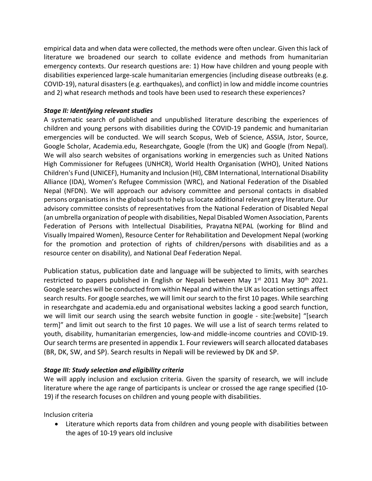empirical data and when data were collected, the methods were often unclear. Given this lack of literature we broadened our search to collate evidence and methods from humanitarian emergency contexts. Our research questions are: 1) How have children and young people with disabilities experienced large-scale humanitarian emergencies (including disease outbreaks (e.g. COVID-19), natural disasters (e.g. earthquakes), and conflict) in low and middle income countries and 2) what research methods and tools have been used to research these experiences?

## *Stage II: Identifying relevant studies*

A systematic search of published and unpublished literature describing the experiences of children and young persons with disabilities during the COVID-19 pandemic and humanitarian emergencies will be conducted. We will search Scopus, Web of Science, ASSIA, Jstor, Source, Google Scholar, Academia.edu, Researchgate, Google (from the UK) and Google (from Nepal). We will also search websites of organisations working in emergencies such as United Nations High Commissioner for Refugees (UNHCR), World Health Organisation (WHO), United Nations Children's Fund (UNICEF), Humanity and Inclusion (HI), CBM International, International Disability Alliance (IDA), Women's Refugee Commission (WRC), and National Federation of the Disabled Nepal (NFDN). We will approach our advisory committee and personal contacts in disabled persons organisations in the global south to help us locate additional relevant grey literature. Our advisory committee consists of representatives from the National Federation of Disabled Nepal (an umbrella organization of people with disabilities, Nepal Disabled Women Association, Parents Federation of Persons with Intellectual Disabilities, Prayatna NEPAL (working for Blind and Visually Impaired Women), Resource Center for Rehabilitation and Development Nepal (working for the promotion and protection of rights of children/persons with disabilities and as a resource center on disability), and National Deaf Federation Nepal.

Publication status, publication date and language will be subjected to limits, with searches restricted to papers published in English or Nepali between May 1<sup>st</sup> 2011 May 30<sup>th</sup> 2021. Google searches will be conducted from within Nepal and within the UK as location settings affect search results. For google searches, we will limit our search to the first 10 pages. While searching in researchgate and academia.edu and organisational websites lacking a good search function, we will limit our search using the search website function in google - site:[website] "[search term]" and limit out search to the first 10 pages. We will use a list of search terms related to youth, disability, humanitarian emergencies, low-and middle-income countries and COVID-19. Our search terms are presented in appendix 1. Four reviewers will search allocated databases (BR, DK, SW, and SP). Search results in Nepali will be reviewed by DK and SP.

### *Stage III: Study selection and eligibility criteria*

We will apply inclusion and exclusion criteria. Given the sparsity of research, we will include literature where the age range of participants is unclear or crossed the age range specified (10- 19) if the research focuses on children and young people with disabilities.

Inclusion criteria

• Literature which reports data from children and young people with disabilities between the ages of 10-19 years old inclusive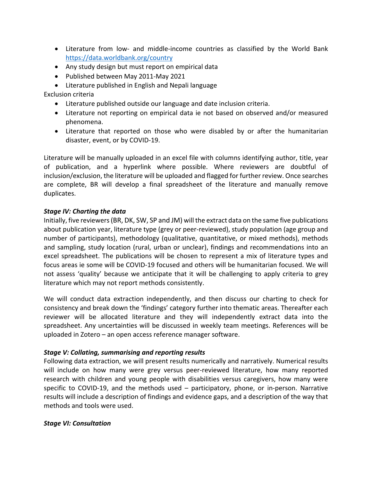- Literature from low- and middle-income countries as classified by the World Bank https://data.worldbank.org/country
- Any study design but must report on empirical data
- Published between May 2011-May 2021
- Literature published in English and Nepali language

Exclusion criteria

- Literature published outside our language and date inclusion criteria.
- Literature not reporting on empirical data ie not based on observed and/or measured phenomena.
- Literature that reported on those who were disabled by or after the humanitarian disaster, event, or by COVID-19.

Literature will be manually uploaded in an excel file with columns identifying author, title, year of publication, and a hyperlink where possible. Where reviewers are doubtful of inclusion/exclusion, the literature will be uploaded and flagged for further review. Once searches are complete, BR will develop a final spreadsheet of the literature and manually remove duplicates.

#### *Stage IV: Charting the data*

Initially, five reviewers (BR, DK, SW, SP and JM) will the extract data on the same five publications about publication year, literature type (grey or peer-reviewed), study population (age group and number of participants), methodology (qualitative, quantitative, or mixed methods), methods and sampling, study location (rural, urban or unclear), findings and recommendations into an excel spreadsheet. The publications will be chosen to represent a mix of literature types and focus areas ie some will be COVID-19 focused and others will be humanitarian focused. We will not assess 'quality' because we anticipate that it will be challenging to apply criteria to grey literature which may not report methods consistently.

We will conduct data extraction independently, and then discuss our charting to check for consistency and break down the 'findings' category further into thematic areas. Thereafter each reviewer will be allocated literature and they will independently extract data into the spreadsheet. Any uncertainties will be discussed in weekly team meetings. References will be uploaded in Zotero – an open access reference manager software.

### *Stage V: Collating, summarising and reporting results*

Following data extraction, we will present results numerically and narratively. Numerical results will include on how many were grey versus peer-reviewed literature, how many reported research with children and young people with disabilities versus caregivers, how many were specific to COVID-19, and the methods used – participatory, phone, or in-person. Narrative results will include a description of findings and evidence gaps, and a description of the way that methods and tools were used.

#### *Stage VI: Consultation*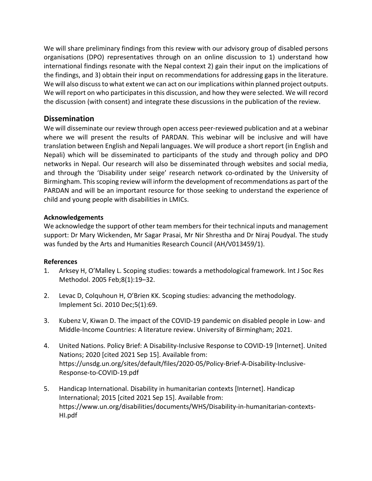We will share preliminary findings from this review with our advisory group of disabled persons organisations (DPO) representatives through on an online discussion to 1) understand how international findings resonate with the Nepal context 2) gain their input on the implications of the findings, and 3) obtain their input on recommendations for addressing gaps in the literature. We will also discuss to what extent we can act on our implications within planned project outputs. We will report on who participates in this discussion, and how they were selected. We will record the discussion (with consent) and integrate these discussions in the publication of the review.

## **Dissemination**

We will disseminate our review through open access peer-reviewed publication and at a webinar where we will present the results of PARDAN. This webinar will be inclusive and will have translation between English and Nepali languages. We will produce a short report (in English and Nepali) which will be disseminated to participants of the study and through policy and DPO networks in Nepal. Our research will also be disseminated through websites and social media, and through the 'Disability under seige' research network co-ordinated by the University of Birmingham. This scoping review will inform the development of recommendations as part of the PARDAN and will be an important resource for those seeking to understand the experience of child and young people with disabilities in LMICs.

### **Acknowledgements**

We acknowledge the support of other team members for their technical inputs and management support: Dr Mary Wickenden, Mr Sagar Prasai, Mr Nir Shrestha and Dr Niraj Poudyal. The study was funded by the Arts and Humanities Research Council (AH/V013459/1).

#### **References**

- 1. Arksey H, O'Malley L. Scoping studies: towards a methodological framework. Int J Soc Res Methodol. 2005 Feb;8(1):19–32.
- 2. Levac D, Colquhoun H, O'Brien KK. Scoping studies: advancing the methodology. Implement Sci. 2010 Dec;5(1):69.
- 3. Kubenz V, Kiwan D. The impact of the COVID-19 pandemic on disabled people in Low- and Middle-Income Countries: A literature review. University of Birmingham; 2021.
- 4. United Nations. Policy Brief: A Disability-Inclusive Response to COVID-19 [Internet]. United Nations; 2020 [cited 2021 Sep 15]. Available from: https://unsdg.un.org/sites/default/files/2020-05/Policy-Brief-A-Disability-Inclusive-Response-to-COVID-19.pdf
- 5. Handicap International. Disability in humanitarian contexts [Internet]. Handicap International; 2015 [cited 2021 Sep 15]. Available from: https://www.un.org/disabilities/documents/WHS/Disability-in-humanitarian-contexts-HI.pdf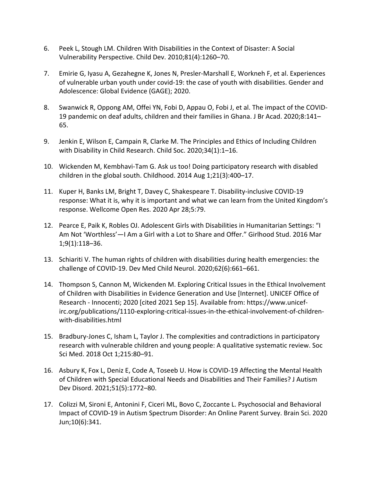- 6. Peek L, Stough LM. Children With Disabilities in the Context of Disaster: A Social Vulnerability Perspective. Child Dev. 2010;81(4):1260–70.
- 7. Emirie G, Iyasu A, Gezahegne K, Jones N, Presler-Marshall E, Workneh F, et al. Experiences of vulnerable urban youth under covid-19: the case of youth with disabilities. Gender and Adolescence: Global Evidence (GAGE); 2020.
- 8. Swanwick R, Oppong AM, Offei YN, Fobi D, Appau O, Fobi J, et al. The impact of the COVID-19 pandemic on deaf adults, children and their families in Ghana. J Br Acad. 2020;8:141– 65.
- 9. Jenkin E, Wilson E, Campain R, Clarke M. The Principles and Ethics of Including Children with Disability in Child Research. Child Soc. 2020;34(1):1–16.
- 10. Wickenden M, Kembhavi-Tam G. Ask us too! Doing participatory research with disabled children in the global south. Childhood. 2014 Aug 1;21(3):400–17.
- 11. Kuper H, Banks LM, Bright T, Davey C, Shakespeare T. Disability-inclusive COVID-19 response: What it is, why it is important and what we can learn from the United Kingdom's response. Wellcome Open Res. 2020 Apr 28;5:79.
- 12. Pearce E, Paik K, Robles OJ. Adolescent Girls with Disabilities in Humanitarian Settings: "I Am Not 'Worthless'—I Am a Girl with a Lot to Share and Offer." Girlhood Stud. 2016 Mar 1;9(1):118–36.
- 13. Schiariti V. The human rights of children with disabilities during health emergencies: the challenge of COVID-19. Dev Med Child Neurol. 2020;62(6):661–661.
- 14. Thompson S, Cannon M, Wickenden M. Exploring Critical Issues in the Ethical Involvement of Children with Disabilities in Evidence Generation and Use [Internet]. UNICEF Office of Research - Innocenti; 2020 [cited 2021 Sep 15]. Available from: https://www.unicefirc.org/publications/1110-exploring-critical-issues-in-the-ethical-involvement-of-childrenwith-disabilities.html
- 15. Bradbury-Jones C, Isham L, Taylor J. The complexities and contradictions in participatory research with vulnerable children and young people: A qualitative systematic review. Soc Sci Med. 2018 Oct 1;215:80–91.
- 16. Asbury K, Fox L, Deniz E, Code A, Toseeb U. How is COVID-19 Affecting the Mental Health of Children with Special Educational Needs and Disabilities and Their Families? J Autism Dev Disord. 2021;51(5):1772–80.
- 17. Colizzi M, Sironi E, Antonini F, Ciceri ML, Bovo C, Zoccante L. Psychosocial and Behavioral Impact of COVID-19 in Autism Spectrum Disorder: An Online Parent Survey. Brain Sci. 2020 Jun;10(6):341.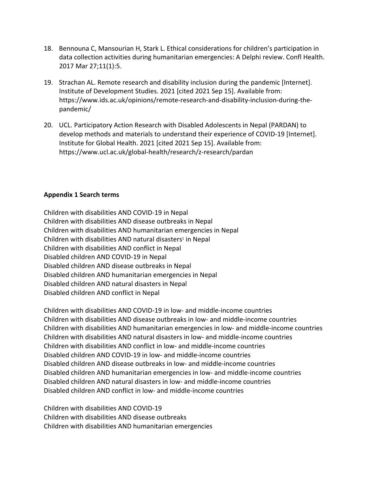- 18. Bennouna C, Mansourian H, Stark L. Ethical considerations for children's participation in data collection activities during humanitarian emergencies: A Delphi review. Confl Health. 2017 Mar 27;11(1):5.
- 19. Strachan AL. Remote research and disability inclusion during the pandemic [Internet]. Institute of Development Studies. 2021 [cited 2021 Sep 15]. Available from: https://www.ids.ac.uk/opinions/remote-research-and-disability-inclusion-during-thepandemic/
- 20. UCL. Participatory Action Research with Disabled Adolescents in Nepal (PARDAN) to develop methods and materials to understand their experience of COVID-19 [Internet]. Institute for Global Health. 2021 [cited 2021 Sep 15]. Available from: https://www.ucl.ac.uk/global-health/research/z-research/pardan

#### **Appendix 1 Search terms**

Children with disabilities AND COVID-19 in Nepal Children with disabilities AND disease outbreaks in Nepal Children with disabilities AND humanitarian emergencies in Nepal Children with disabilities AND natural disasters<sup>1</sup> in Nepal Children with disabilities AND conflict in Nepal Disabled children AND COVID-19 in Nepal Disabled children AND disease outbreaks in Nepal Disabled children AND humanitarian emergencies in Nepal Disabled children AND natural disasters in Nepal Disabled children AND conflict in Nepal

Children with disabilities AND COVID-19 in low- and middle-income countries Children with disabilities AND disease outbreaks in low- and middle-income countries Children with disabilities AND humanitarian emergencies in low- and middle-income countries Children with disabilities AND natural disasters in low- and middle-income countries Children with disabilities AND conflict in low- and middle-income countries Disabled children AND COVID-19 in low- and middle-income countries Disabled children AND disease outbreaks in low- and middle-income countries Disabled children AND humanitarian emergencies in low- and middle-income countries Disabled children AND natural disasters in low- and middle-income countries Disabled children AND conflict in low- and middle-income countries

Children with disabilities AND COVID-19 Children with disabilities AND disease outbreaks Children with disabilities AND humanitarian emergencies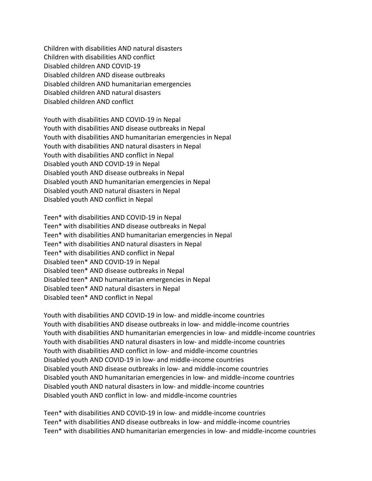Children with disabilities AND natural disasters Children with disabilities AND conflict Disabled children AND COVID-19 Disabled children AND disease outbreaks Disabled children AND humanitarian emergencies Disabled children AND natural disasters Disabled children AND conflict

Youth with disabilities AND COVID-19 in Nepal Youth with disabilities AND disease outbreaks in Nepal Youth with disabilities AND humanitarian emergencies in Nepal Youth with disabilities AND natural disasters in Nepal Youth with disabilities AND conflict in Nepal Disabled youth AND COVID-19 in Nepal Disabled youth AND disease outbreaks in Nepal Disabled youth AND humanitarian emergencies in Nepal Disabled youth AND natural disasters in Nepal Disabled youth AND conflict in Nepal

Teen\* with disabilities AND COVID-19 in Nepal Teen\* with disabilities AND disease outbreaks in Nepal Teen\* with disabilities AND humanitarian emergencies in Nepal Teen\* with disabilities AND natural disasters in Nepal Teen\* with disabilities AND conflict in Nepal Disabled teen\* AND COVID-19 in Nepal Disabled teen\* AND disease outbreaks in Nepal Disabled teen\* AND humanitarian emergencies in Nepal Disabled teen\* AND natural disasters in Nepal Disabled teen\* AND conflict in Nepal

Youth with disabilities AND COVID-19 in low- and middle-income countries Youth with disabilities AND disease outbreaks in low- and middle-income countries Youth with disabilities AND humanitarian emergencies in low- and middle-income countries Youth with disabilities AND natural disasters in low- and middle-income countries Youth with disabilities AND conflict in low- and middle-income countries Disabled youth AND COVID-19 in low- and middle-income countries Disabled youth AND disease outbreaks in low- and middle-income countries Disabled youth AND humanitarian emergencies in low- and middle-income countries Disabled youth AND natural disasters in low- and middle-income countries Disabled youth AND conflict in low- and middle-income countries

Teen\* with disabilities AND COVID-19 in low- and middle-income countries Teen\* with disabilities AND disease outbreaks in low- and middle-income countries Teen\* with disabilities AND humanitarian emergencies in low- and middle-income countries